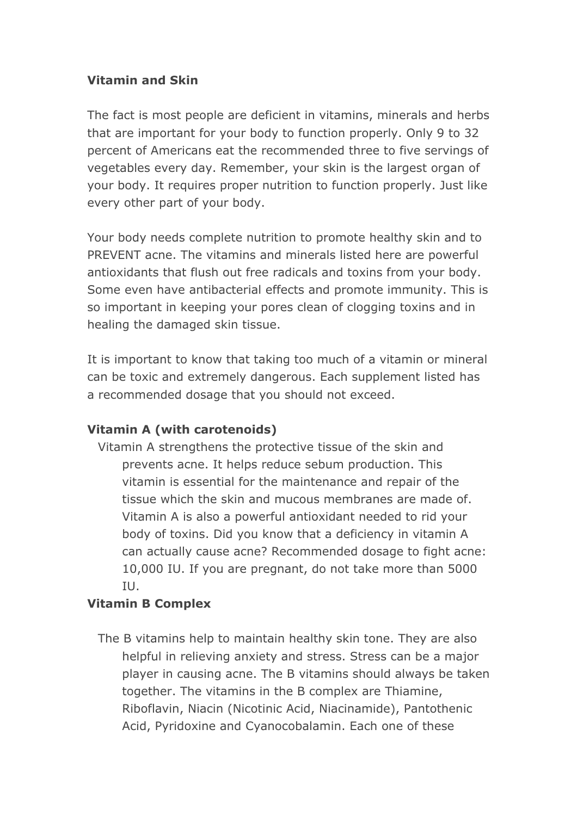### **Vitamin and Skin**

The fact is most people are deficient in vitamins, minerals and herbs that are important for your body to function properly. Only 9 to 32 percent of Americans eat the recommended three to five servings of vegetables every day. Remember, your skin is the largest organ of your body. It requires proper nutrition to function properly. Just like every other part of your body.

Your body needs complete nutrition to promote healthy skin and to PREVENT acne. The vitamins and minerals listed here are powerful antioxidants that flush out free radicals and toxins from your body. Some even have antibacterial effects and promote immunity. This is so important in keeping your pores clean of clogging toxins and in healing the damaged skin tissue.

It is important to know that taking too much of a vitamin or mineral can be toxic and extremely dangerous. Each supplement listed has a recommended dosage that you should not exceed.

# **Vitamin A (with carotenoids)**

Vitamin A strengthens the protective tissue of the skin and prevents acne. It helps reduce sebum production. This vitamin is essential for the maintenance and repair of the tissue which the skin and mucous membranes are made of. Vitamin A is also a powerful antioxidant needed to rid your body of toxins. Did you know that a deficiency in vitamin A can actually cause acne? Recommended dosage to fight acne: 10,000 IU. If you are pregnant, do not take more than 5000 IU.

# **Vitamin B Complex**

The B vitamins help to maintain healthy skin tone. They are also helpful in relieving anxiety and stress. Stress can be a major player in causing acne. The B vitamins should always be taken together. The vitamins in the B complex are Thiamine, Riboflavin, Niacin (Nicotinic Acid, Niacinamide), Pantothenic Acid, Pyridoxine and Cyanocobalamin. Each one of these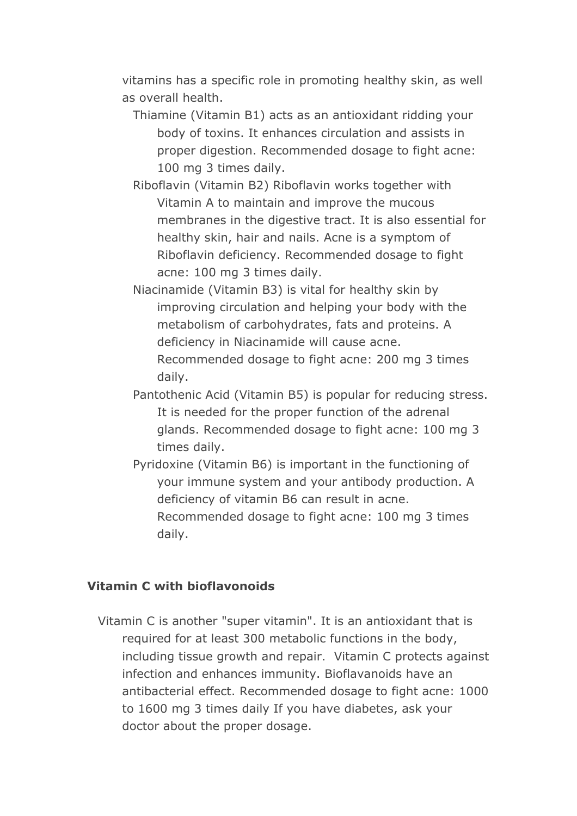vitamins has a specific role in promoting healthy skin, as well as overall health.

- Thiamine (Vitamin B1) acts as an antioxidant ridding your body of toxins. It enhances circulation and assists in proper digestion. Recommended dosage to fight acne: 100 mg 3 times daily.
- Riboflavin (Vitamin B2) Riboflavin works together with Vitamin A to maintain and improve the mucous membranes in the digestive tract. It is also essential for healthy skin, hair and nails. Acne is a symptom of Riboflavin deficiency. Recommended dosage to fight acne: 100 mg 3 times daily.
- Niacinamide (Vitamin B3) is vital for healthy skin by improving circulation and helping your body with the metabolism of carbohydrates, fats and proteins. A deficiency in Niacinamide will cause acne. Recommended dosage to fight acne: 200 mg 3 times daily.
- Pantothenic Acid (Vitamin B5) is popular for reducing stress. It is needed for the proper function of the adrenal glands. Recommended dosage to fight acne: 100 mg 3 times daily.
- Pyridoxine (Vitamin B6) is important in the functioning of your immune system and your antibody production. A deficiency of vitamin B6 can result in acne. Recommended dosage to fight acne: 100 mg 3 times daily.

### **Vitamin C with bioflavonoids**

Vitamin C is another "super vitamin". It is an antioxidant that is required for at least 300 metabolic functions in the body, including tissue growth and repair. Vitamin C protects against infection and enhances immunity. Bioflavanoids have an antibacterial effect. Recommended dosage to fight acne: 1000 to 1600 mg 3 times daily If you have diabetes, ask your doctor about the proper dosage.